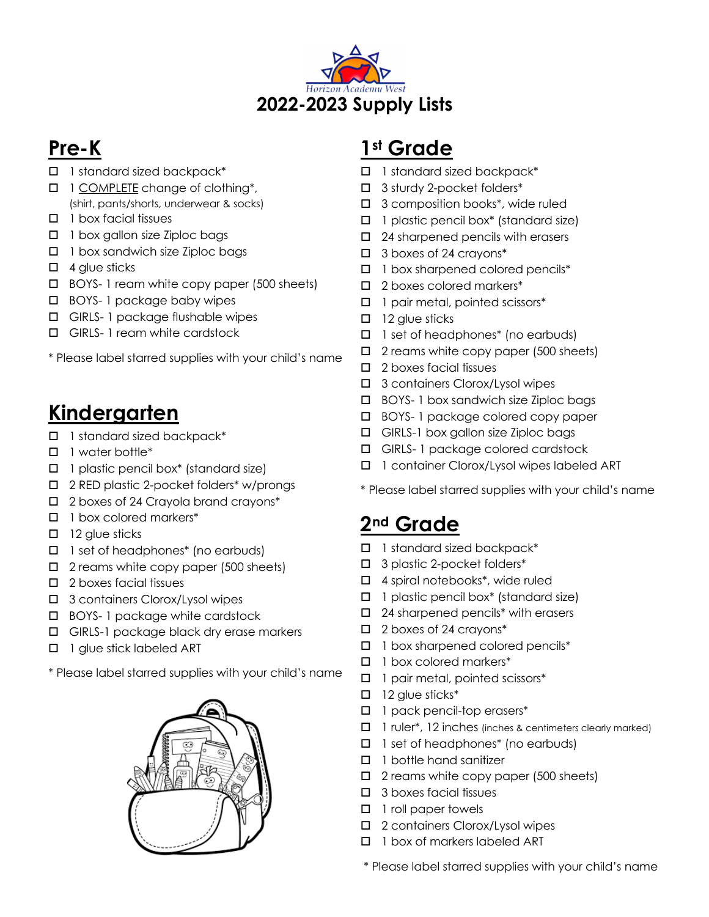

## **Pre-K**

- $\Box$  1 standard sized backpack\*
- $\Box$  1 COMPLETE change of clothing\*, (shirt, pants/shorts, underwear & socks)
- $\Box$  1 box facial tissues
- $\Box$  1 box gallon size Ziploc bags
- $\Box$  1 box sandwich size Ziploc bags
- $\Box$  4 glue sticks
- $\Box$  BOYS- 1 ream white copy paper (500 sheets)
- $\Box$  BOYS- 1 package baby wipes
- $\Box$  GIRLS- 1 package flushable wipes
- $\Box$  GIRLS- 1 ream white cardstock
- \* Please label starred supplies with your child's name

## **Kindergarten**

- $\Box$  1 standard sized backpack\*
- $\Box$  1 water bottle\*
- $\Box$  1 plastic pencil box\* (standard size)
- □ 2 RED plastic 2-pocket folders\* w/prongs
- $\Box$  2 boxes of 24 Crayola brand crayons\*
- $\Box$  1 box colored markers\*
- $\Box$  12 glue sticks
- $\Box$  1 set of headphones\* (no earbuds)
- $\Box$  2 reams white copy paper (500 sheets)
- $\Box$  2 boxes facial tissues
- □ 3 containers Clorox/Lysol wipes
- $\Box$  BOYS- 1 package white cardstock
- $\Box$  GIRLS-1 package black dry erase markers
- $\Box$  1 glue stick labeled ART
- \* Please label starred supplies with your child's name



## **1st Grade**

- $\Box$  1 standard sized backpack\*
- $\Box$  3 sturdy 2-pocket folders\*
- $\Box$  3 composition books\*, wide ruled
- $\Box$  1 plastic pencil box\* (standard size)
- $\Box$  24 sharpened pencils with erasers
- $\Box$  3 boxes of 24 crayons\*
- $\Box$  1 box sharpened colored pencils\*
- $\square$  2 boxes colored markers\*
- $\Box$  1 pair metal, pointed scissors\*
- $\Box$  12 glue sticks
- $\Box$  1 set of headphones\* (no earbuds)
- $\Box$  2 reams white copy paper (500 sheets)
- $\Box$  2 boxes facial tissues
- $\Box$  3 containers Clorox/Lysol wipes
- $\Box$  BOYS- 1 box sandwich size Ziploc bags
- $\Box$  BOYS- 1 package colored copy paper
- $\Box$  GIRLS-1 box gallon size Ziploc bags
- $\Box$  GIRLS- 1 package colored cardstock
- □ 1 container Clorox/Lysol wipes labeled ART

\* Please label starred supplies with your child's name

#### **2nd Grade**

- $\Box$  1 standard sized backpack\*
- $\Box$  3 plastic 2-pocket folders\*
- $\Box$  4 spiral notebooks\*, wide ruled
- $\Box$  1 plastic pencil box\* (standard size)
- $\Box$  24 sharpened pencils<sup>\*</sup> with erasers
- $\Box$  2 boxes of 24 crayons\*
- $\Box$  1 box sharpened colored pencils\*
- $\Box$  1 box colored markers\*
- $\Box$  1 pair metal, pointed scissors\*
- $\Box$  12 glue sticks\*
- $\Box$  1 pack pencil-top erasers\*
- $\Box$  1 ruler\*, 12 inches (inches & centimeters clearly marked)
- $\Box$  1 set of headphones\* (no earbuds)
- $\Box$  1 bottle hand sanitizer
- $\Box$  2 reams white copy paper (500 sheets)
- $\Box$  3 boxes facial tissues
- $\Box$  1 roll paper towels
- $\Box$  2 containers Clorox/Lysol wipes
- $\Box$  1 box of markers labeled ART

\* Please label starred supplies with your child's name